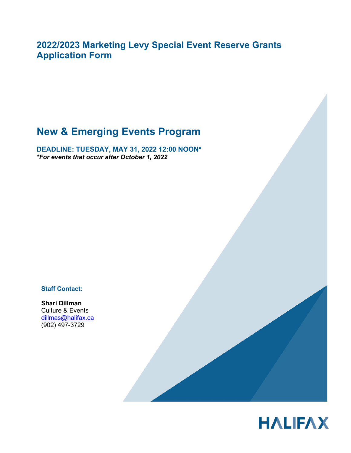**2022/2023 Marketing Levy Special Event Reserve Grants Application Form** 

# **New & Emerging Events Program**

**DEADLINE: TUESDAY, MAY 31, 2022 12:00 NOON\*** *\*For events that occur after October 1, 2022* 

**Staff Contact:**

**Shari Dillman** Culture & Events dillmas@halifax.ca (902) 497-3729

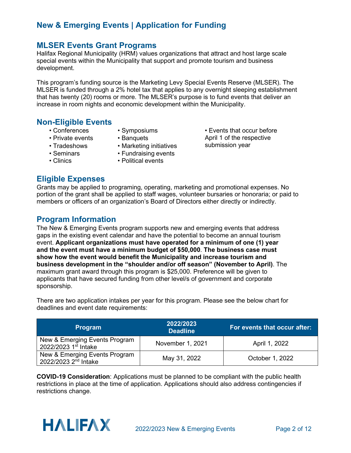### **MLSER Events Grant Programs**

Halifax Regional Municipality (HRM) values organizations that attract and host large scale special events within the Municipality that support and promote tourism and business development.

This program's funding source is the Marketing Levy Special Events Reserve (MLSER). The MLSER is funded through a 2% hotel tax that applies to any overnight sleeping establishment that has twenty (20) rooms or more. The MLSER's purpose is to fund events that deliver an increase in room nights and economic development within the Municipality.

#### **Non-Eligible Events**

- Conferences
- Symposiums
- Private events
- Tradeshows
- Seminars
- Clinics
- Banquets
- Marketing initiatives
- Fundraising events
- Political events

### **Eligible Expenses**

submission year

• Events that occur before April 1 of the respective

Grants may be applied to programing, operating, marketing and promotional expenses. No portion of the grant shall be applied to staff wages, volunteer bursaries or honoraria; or paid to members or officers of an organization's Board of Directors either directly or indirectly.

### **Program Information**

The New & Emerging Events program supports new and emerging events that address gaps in the existing event calendar and have the potential to become an annual tourism event. **Applicant organizations must have operated for a minimum of one (1) year and the event must have a minimum budget of \$50,000**. **The business case must show how the event would benefit the Municipality and increase tourism and business development in the "shoulder and/or off season" (November to April)**. The maximum grant award through this program is \$25,000. Preference will be given to applicants that have secured funding from other level/s of government and corporate sponsorship.

There are two application intakes per year for this program. Please see the below chart for deadlines and event date requirements:

| <b>Program</b>                                                    | 2022/2023<br><b>Deadline</b> | For events that occur after: |
|-------------------------------------------------------------------|------------------------------|------------------------------|
| New & Emerging Events Program<br>2022/2023 1st Intake             | November 1, 2021             | April 1, 2022                |
| New & Emerging Events Program<br>2022/2023 2 <sup>nd</sup> Intake | May 31, 2022                 | October 1, 2022              |

**COVID-19 Consideration**: Applications must be planned to be compliant with the public health restrictions in place at the time of application. Applications should also address contingencies if restrictions change.

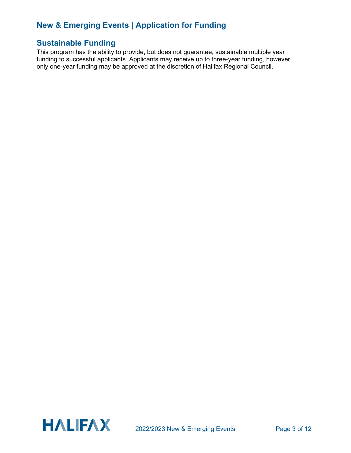### **Sustainable Funding**

This program has the ability to provide, but does not guarantee, sustainable multiple year funding to successful applicants. Applicants may receive up to three-year funding, however only one-year funding may be approved at the discretion of Halifax Regional Council.

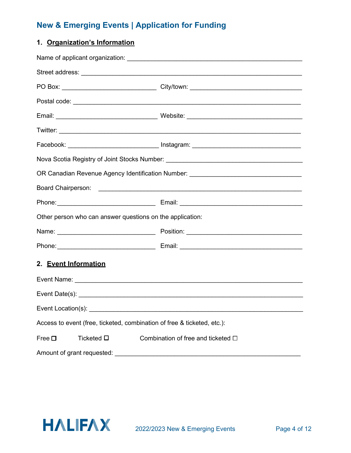### **1. Organization's Information**

|                                                                         | Facebook: ______________________________ Instagram: ____________________________ |  |
|-------------------------------------------------------------------------|----------------------------------------------------------------------------------|--|
|                                                                         | Nova Scotia Registry of Joint Stocks Number: ___________________________________ |  |
|                                                                         | OR Canadian Revenue Agency Identification Number: ______________________________ |  |
|                                                                         |                                                                                  |  |
|                                                                         |                                                                                  |  |
| Other person who can answer questions on the application:               |                                                                                  |  |
|                                                                         |                                                                                  |  |
|                                                                         |                                                                                  |  |
| 2. Event Information                                                    |                                                                                  |  |
|                                                                         |                                                                                  |  |
|                                                                         |                                                                                  |  |
| Event Location(s):                                                      |                                                                                  |  |
| Access to event (free, ticketed, combination of free & ticketed, etc.): |                                                                                  |  |
| Ticketed $\square$<br>Free $\square$                                    | Combination of free and ticketed $\Box$                                          |  |
| Amount of grant requested:                                              |                                                                                  |  |

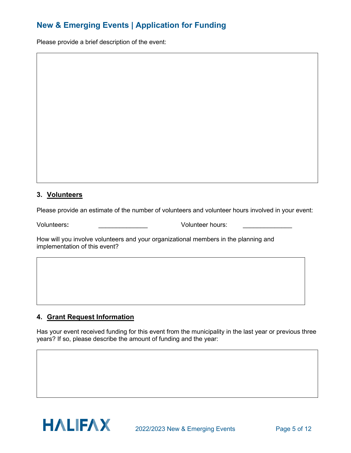Please provide a brief description of the event:

#### **3. Volunteers**

Please provide an estimate of the number of volunteers and volunteer hours involved in your event:

Volunteers**:** \_\_\_\_\_\_\_\_\_\_\_\_\_\_ Volunteer hours: \_\_\_\_\_\_\_\_\_\_\_\_\_\_

How will you involve volunteers and your organizational members in the planning and implementation of this event?

#### **4. Grant Request Information**

Has your event received funding for this event from the municipality in the last year or previous three years? If so, please describe the amount of funding and the year:

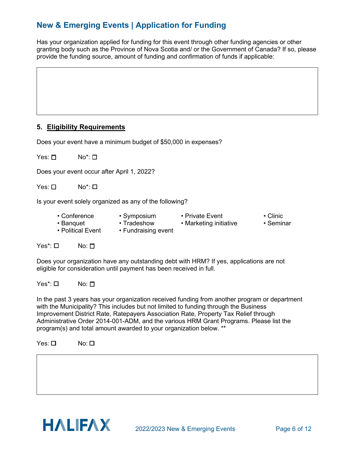Has your organization applied for funding for this event through other funding agencies or other granting body such as the Province of Nova Scotia and/ or the Government of Canada? If so, please provide the funding source, amount of funding and confirmation of funds if applicable:

#### **5. Eligibility Requirements**

Does your event have a minimum budget of \$50,000 in expenses?

Yes: <del>□</del> No<sup>\*</sup>: □

Does your event occur after April 1, 2022?

Yes: <del>□</del> No<sup>\*</sup>: □

Is your event solely organized as any of the following?

- 
- 
- Political Event Fundraising event
- Conference Symposium Private Event Clinic
- Banquet Tradeshow Marketing initiative
- 

Yes\*: □ No: □

Does your organization have any outstanding debt with HRM? If yes, applications are not eligible for consideration until payment has been received in full.

Yes\*: □ No: □

In the past 3 years has your organization received funding from another program or department with the Municipality? This includes but not limited to funding through the Business Improvement District Rate, Ratepayers Association Rate, Property Tax Relief through Administrative Order 2014-001-ADM, and the various HRM Grant Programs. Please list the program(s) and total amount awarded to your organization below. \*\*

Yes: <del></del> **No: □** 

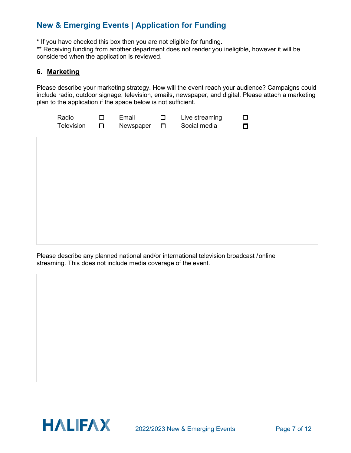**\*** If you have checked this box then you are not eligible for funding.

\*\* Receiving funding from another department does not render you ineligible, however it will be considered when the application is reviewed.

#### **6. Marketing**

Please describe your marketing strategy. How will the event reach your audience? Campaigns could include radio, outdoor signage, television, emails, newspaper, and digital. Please attach a marketing plan to the application if the space below is not sufficient.

| Radio      | Email     | Live streaming |  |
|------------|-----------|----------------|--|
| Television | Newspaper | Social media   |  |

Please describe any planned national and/or international television broadcast /online streaming. This does not include media coverage of the event.

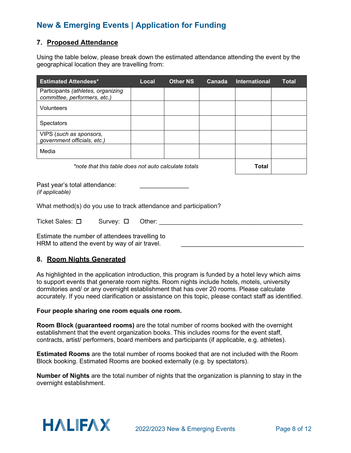#### **7. Proposed Attendance**

Using the table below, please break down the estimated attendance attending the event by the geographical location they are travelling from:

| <b>Estimated Attendees*</b>                                        | Local | <b>Other NS</b> | Canada       | <b>International</b> | <b>Total</b> |
|--------------------------------------------------------------------|-------|-----------------|--------------|----------------------|--------------|
| Participants (athletes, organizing<br>committee, performers, etc.) |       |                 |              |                      |              |
| Volunteers                                                         |       |                 |              |                      |              |
| <b>Spectators</b>                                                  |       |                 |              |                      |              |
| VIPS (such as sponsors,<br>government officials, etc.)             |       |                 |              |                      |              |
| Media                                                              |       |                 |              |                      |              |
| *note that this table does not auto calculate totals               |       |                 | <b>Total</b> |                      |              |

Past year's total attendance: *(if applicable)*

What method(s) do you use to track attendance and participation?

| Ticket Sales: □ | Survey: $\Box$ | Other: |  |
|-----------------|----------------|--------|--|
|                 |                |        |  |

Estimate the number of attendees travelling to HRM to attend the event by way of air travel.

#### **8. Room Nights Generated**

As highlighted in the application introduction, this program is funded by a hotel levy which aims to support events that generate room nights. Room nights include hotels, motels, university dormitories and/ or any overnight establishment that has over 20 rooms. Please calculate accurately. If you need clarification or assistance on this topic, please contact staff as identified.

#### **Four people sharing one room equals one room.**

**Room Block (guaranteed rooms)** are the total number of rooms booked with the overnight establishment that the event organization books. This includes rooms for the event staff, contracts, artist/ performers, board members and participants (if applicable, e.g. athletes).

**Estimated Rooms** are the total number of rooms booked that are not included with the Room Block booking. Estimated Rooms are booked externally (e.g. by spectators).

**Number of Nights** are the total number of nights that the organization is planning to stay in the overnight establishment.

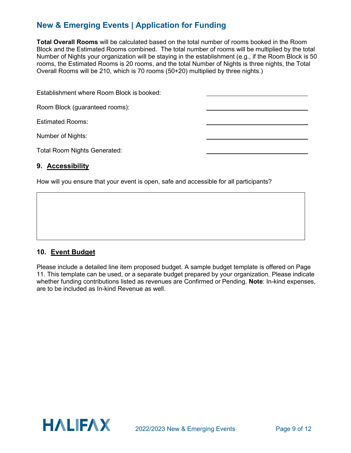**Total Overall Rooms** will be calculated based on the total number of rooms booked in the Room Block and the Estimated Rooms combined. The total number of rooms will be multiplied by the total Number of Nights your organization will be staying in the establishment (e.g., if the Room Block is 50 rooms, the Estimated Rooms is 20 rooms, and the total Number of Nights is three nights, the Total Overall Rooms will be 210, which is 70 rooms (50+20) multiplied by three nights.)

| Establishment where Room Block is booked: |  |
|-------------------------------------------|--|
| Room Block (guaranteed rooms):            |  |
| <b>Estimated Rooms:</b>                   |  |
| Number of Nights:                         |  |
| <b>Total Room Nights Generated:</b>       |  |

#### **9. Accessibility**

How will you ensure that your event is open, safe and accessible for all participants?

#### **10. Event Budget**

Please include a detailed line item proposed budget. A sample budget template is offered on Page 11. This template can be used, or a separate budget prepared by your organization. Please indicate whether funding contributions listed as revenues are Confirmed or Pending. **Note**: In-kind expenses, are to be included as In-kind Revenue as well.

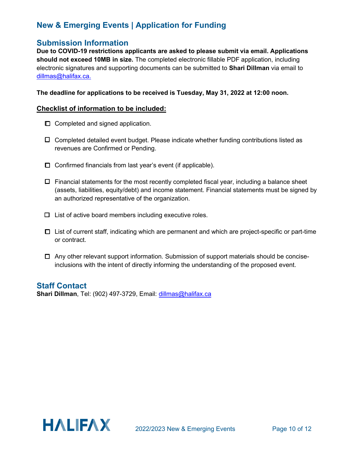### **Submission Information**

**Due to COVID-19 restrictions applicants are asked to please submit via email. Applications should not exceed 10MB in size.** The completed electronic fillable PDF application, including electronic signatures and supporting documents can be submitted to **Shari Dillman** via email to dillmas@halifax.ca.

**The deadline for applications to be received is Tuesday, May 31, 2022 at 12:00 noon.**

#### **Checklist of information to be included:**

- $\Box$  Completed and signed application.
- $\Box$  Completed detailed event budget. Please indicate whether funding contributions listed as revenues are Confirmed or Pending.
- $\Box$  Confirmed financials from last year's event (if applicable).
- $\Box$  Financial statements for the most recently completed fiscal year, including a balance sheet (assets, liabilities, equity/debt) and income statement. Financial statements must be signed by an authorized representative of the organization.
- $\Box$  List of active board members including executive roles.
- □ List of current staff, indicating which are permanent and which are project-specific or part-time or contract.
- $\Box$  Any other relevant support information. Submission of support materials should be conciseinclusions with the intent of directly informing the understanding of the proposed event.

### **Staff Contact**

**Shari Dillman**, Tel: (902) 497-3729, Email: dillmas@halifax.ca

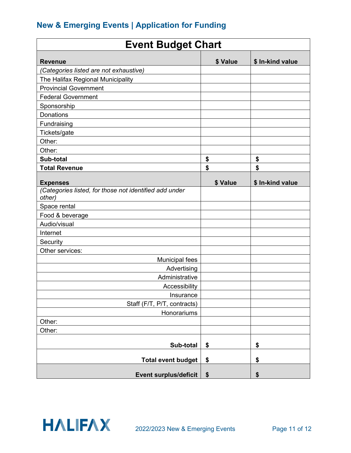| <b>Event Budget Chart</b>                                        |                   |                  |
|------------------------------------------------------------------|-------------------|------------------|
| <b>Revenue</b>                                                   | \$ Value          | \$ In-kind value |
| (Categories listed are not exhaustive)                           |                   |                  |
| The Halifax Regional Municipality                                |                   |                  |
| <b>Provincial Government</b>                                     |                   |                  |
| <b>Federal Government</b>                                        |                   |                  |
| Sponsorship                                                      |                   |                  |
| <b>Donations</b>                                                 |                   |                  |
| Fundraising                                                      |                   |                  |
| Tickets/gate                                                     |                   |                  |
| Other:                                                           |                   |                  |
| Other:                                                           |                   |                  |
| Sub-total                                                        | \$                | \$               |
| <b>Total Revenue</b>                                             | \$                | \$               |
|                                                                  |                   |                  |
| <b>Expenses</b>                                                  | \$ Value          | \$ In-kind value |
| (Categories listed, for those not identified add under<br>other) |                   |                  |
| Space rental                                                     |                   |                  |
| Food & beverage                                                  |                   |                  |
| Audio/visual                                                     |                   |                  |
| Internet                                                         |                   |                  |
| Security                                                         |                   |                  |
| Other services:                                                  |                   |                  |
| <b>Municipal fees</b>                                            |                   |                  |
| Advertising                                                      |                   |                  |
| Administrative                                                   |                   |                  |
| Accessibility                                                    |                   |                  |
| Insurance                                                        |                   |                  |
| Staff (F/T, P/T, contracts)                                      |                   |                  |
| Honorariums                                                      |                   |                  |
| Other:                                                           |                   |                  |
| Other:                                                           |                   |                  |
| Sub-total                                                        | \$                | \$               |
| <b>Total event budget</b>                                        | \$                | \$               |
| <b>Event surplus/deficit</b>                                     | $\boldsymbol{\$}$ | \$               |